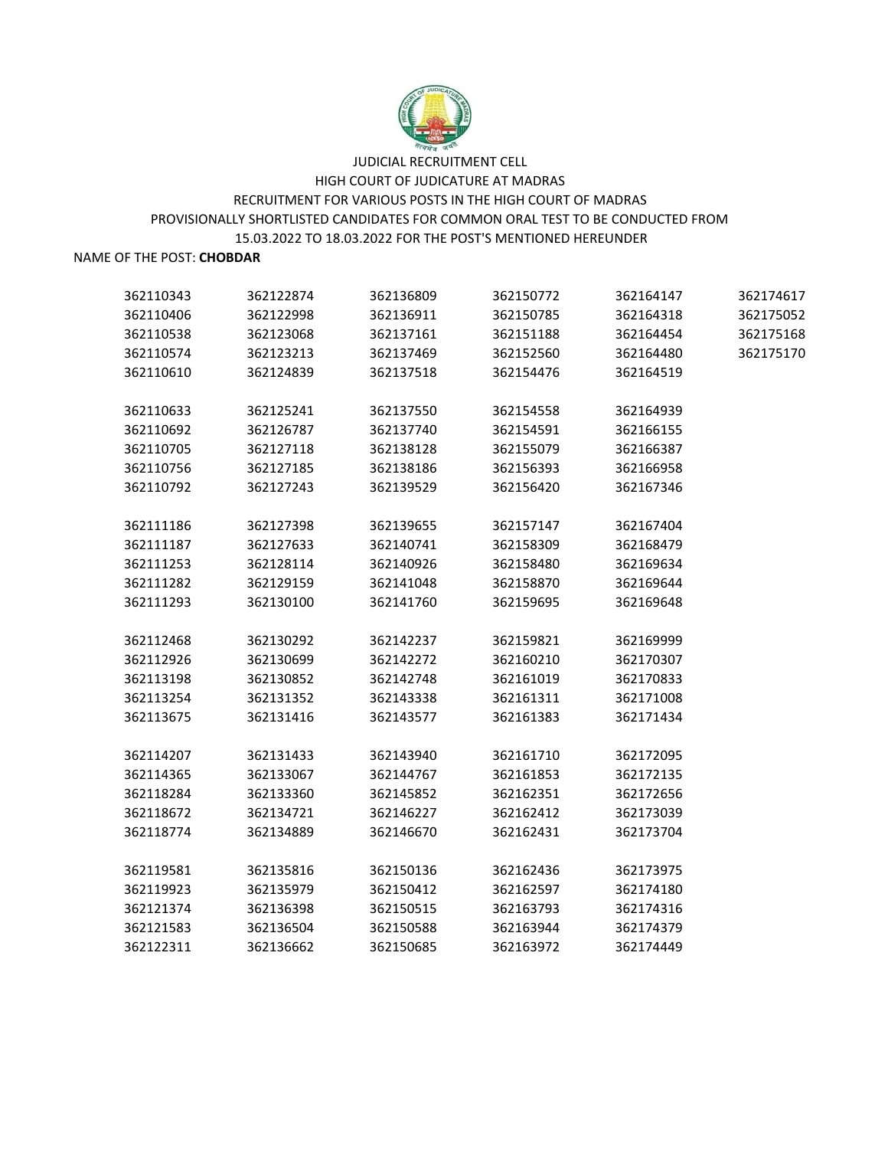

### NAME OF THE POST: **CHOBDAR**

| 362110343 | 362122874 | 362136809 | 362150772 | 362164147 | 362174617 |
|-----------|-----------|-----------|-----------|-----------|-----------|
| 362110406 | 362122998 | 362136911 | 362150785 | 362164318 | 362175052 |
| 362110538 | 362123068 | 362137161 | 362151188 | 362164454 | 362175168 |
| 362110574 | 362123213 | 362137469 | 362152560 | 362164480 | 362175170 |
| 362110610 | 362124839 | 362137518 | 362154476 | 362164519 |           |
|           |           |           |           |           |           |
| 362110633 | 362125241 | 362137550 | 362154558 | 362164939 |           |
| 362110692 | 362126787 | 362137740 | 362154591 | 362166155 |           |
| 362110705 | 362127118 | 362138128 | 362155079 | 362166387 |           |
| 362110756 | 362127185 | 362138186 | 362156393 | 362166958 |           |
| 362110792 | 362127243 | 362139529 | 362156420 | 362167346 |           |
| 362111186 | 362127398 | 362139655 | 362157147 | 362167404 |           |
| 362111187 | 362127633 | 362140741 | 362158309 | 362168479 |           |
|           |           |           |           |           |           |
| 362111253 | 362128114 | 362140926 | 362158480 | 362169634 |           |
| 362111282 | 362129159 | 362141048 | 362158870 | 362169644 |           |
| 362111293 | 362130100 | 362141760 | 362159695 | 362169648 |           |
| 362112468 | 362130292 | 362142237 | 362159821 | 362169999 |           |
| 362112926 | 362130699 | 362142272 | 362160210 | 362170307 |           |
| 362113198 | 362130852 | 362142748 | 362161019 | 362170833 |           |
| 362113254 | 362131352 | 362143338 | 362161311 | 362171008 |           |
| 362113675 | 362131416 | 362143577 | 362161383 | 362171434 |           |
|           |           |           |           |           |           |
| 362114207 | 362131433 | 362143940 | 362161710 | 362172095 |           |
| 362114365 | 362133067 | 362144767 | 362161853 | 362172135 |           |
| 362118284 | 362133360 | 362145852 | 362162351 | 362172656 |           |
| 362118672 | 362134721 | 362146227 | 362162412 | 362173039 |           |
| 362118774 | 362134889 | 362146670 | 362162431 | 362173704 |           |
| 362119581 | 362135816 | 362150136 | 362162436 | 362173975 |           |
| 362119923 | 362135979 | 362150412 | 362162597 | 362174180 |           |
| 362121374 | 362136398 | 362150515 | 362163793 | 362174316 |           |
| 362121583 | 362136504 | 362150588 | 362163944 | 362174379 |           |
| 362122311 | 362136662 | 362150685 | 362163972 | 362174449 |           |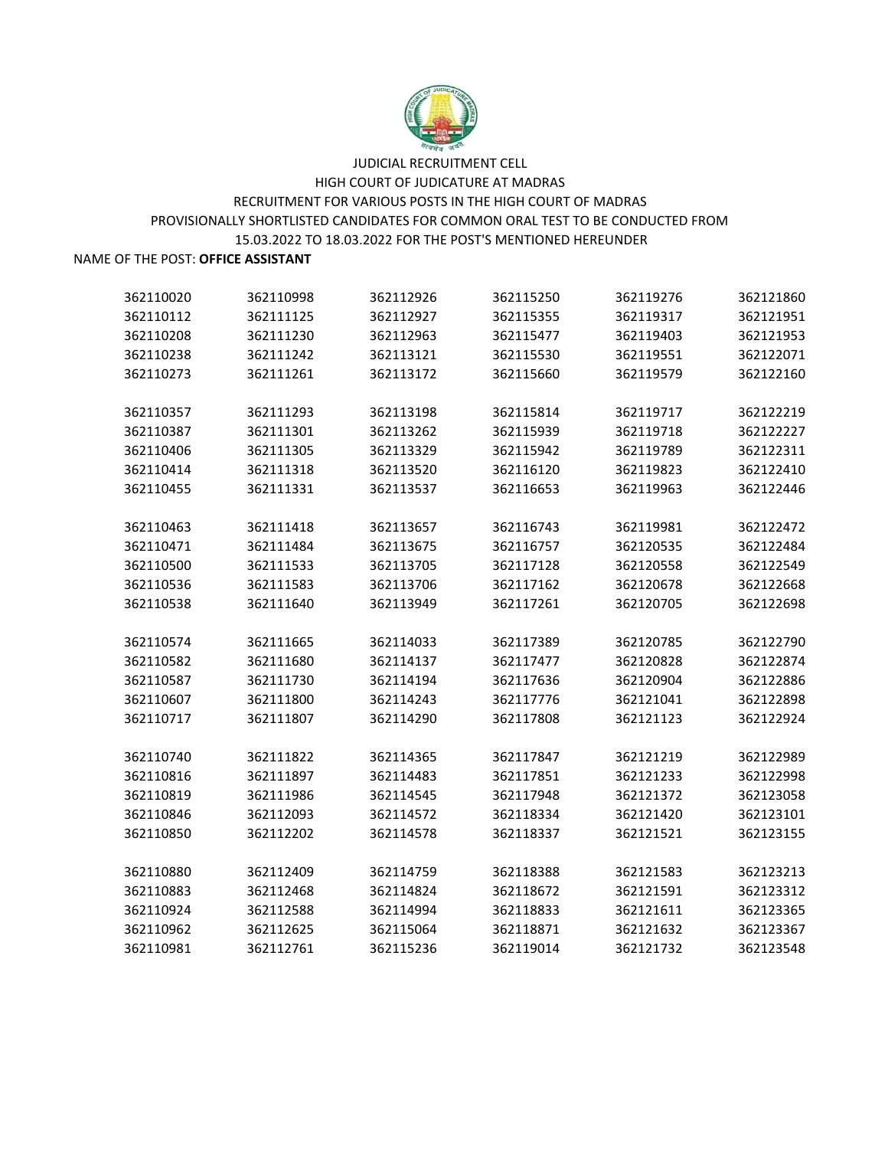

| 362110020 | 362110998 | 362112926 | 362115250 | 362119276 | 362121860 |
|-----------|-----------|-----------|-----------|-----------|-----------|
| 362110112 | 362111125 | 362112927 | 362115355 | 362119317 | 362121951 |
| 362110208 | 362111230 | 362112963 | 362115477 | 362119403 | 362121953 |
| 362110238 | 362111242 | 362113121 | 362115530 | 362119551 | 362122071 |
| 362110273 | 362111261 | 362113172 | 362115660 | 362119579 | 362122160 |
|           |           |           |           |           |           |
| 362110357 | 362111293 | 362113198 | 362115814 | 362119717 | 362122219 |
| 362110387 | 362111301 | 362113262 | 362115939 | 362119718 | 362122227 |
| 362110406 | 362111305 | 362113329 | 362115942 | 362119789 | 362122311 |
| 362110414 | 362111318 | 362113520 | 362116120 | 362119823 | 362122410 |
| 362110455 | 362111331 | 362113537 | 362116653 | 362119963 | 362122446 |
|           |           |           |           |           |           |
| 362110463 | 362111418 | 362113657 | 362116743 | 362119981 | 362122472 |
| 362110471 | 362111484 | 362113675 | 362116757 | 362120535 | 362122484 |
| 362110500 | 362111533 | 362113705 | 362117128 | 362120558 | 362122549 |
| 362110536 | 362111583 | 362113706 | 362117162 | 362120678 | 362122668 |
| 362110538 | 362111640 | 362113949 | 362117261 | 362120705 | 362122698 |
| 362110574 | 362111665 | 362114033 | 362117389 | 362120785 | 362122790 |
| 362110582 | 362111680 | 362114137 | 362117477 | 362120828 | 362122874 |
| 362110587 | 362111730 | 362114194 | 362117636 | 362120904 | 362122886 |
| 362110607 | 362111800 | 362114243 | 362117776 | 362121041 | 362122898 |
| 362110717 | 362111807 | 362114290 | 362117808 | 362121123 | 362122924 |
|           |           |           |           |           |           |
| 362110740 | 362111822 | 362114365 | 362117847 | 362121219 | 362122989 |
| 362110816 | 362111897 | 362114483 | 362117851 | 362121233 | 362122998 |
| 362110819 | 362111986 | 362114545 | 362117948 | 362121372 | 362123058 |
| 362110846 | 362112093 | 362114572 | 362118334 | 362121420 | 362123101 |
| 362110850 | 362112202 | 362114578 | 362118337 | 362121521 | 362123155 |
|           |           |           |           |           |           |
| 362110880 | 362112409 | 362114759 | 362118388 | 362121583 | 362123213 |
| 362110883 | 362112468 | 362114824 | 362118672 | 362121591 | 362123312 |
| 362110924 | 362112588 | 362114994 | 362118833 | 362121611 | 362123365 |
| 362110962 | 362112625 | 362115064 | 362118871 | 362121632 | 362123367 |
| 362110981 | 362112761 | 362115236 | 362119014 | 362121732 | 362123548 |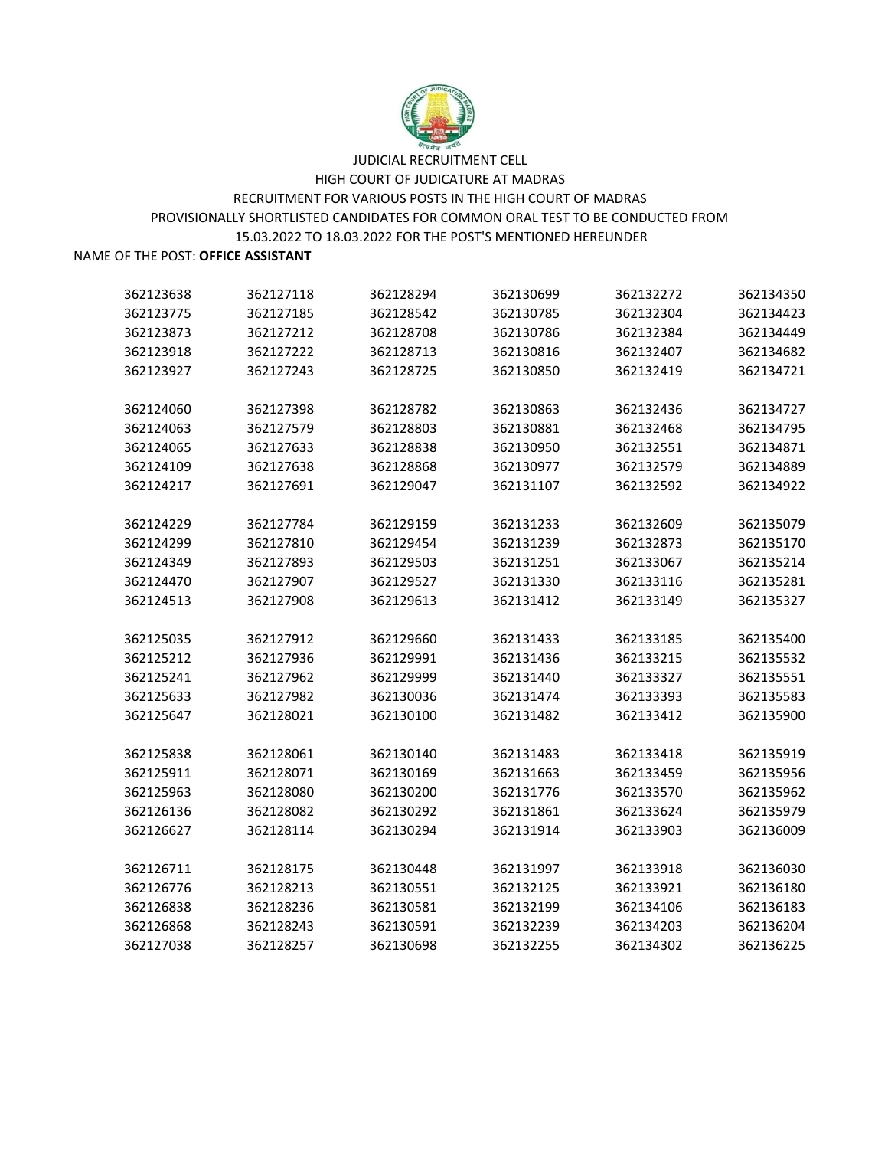

| 362123638 | 362127118 | 362128294 | 362130699 | 362132272 | 362134350 |
|-----------|-----------|-----------|-----------|-----------|-----------|
| 362123775 | 362127185 | 362128542 | 362130785 | 362132304 | 362134423 |
| 362123873 | 362127212 | 362128708 | 362130786 | 362132384 | 362134449 |
| 362123918 | 362127222 | 362128713 | 362130816 | 362132407 | 362134682 |
| 362123927 | 362127243 | 362128725 | 362130850 | 362132419 | 362134721 |
|           |           |           |           |           |           |
| 362124060 | 362127398 | 362128782 | 362130863 | 362132436 | 362134727 |
| 362124063 | 362127579 | 362128803 | 362130881 | 362132468 | 362134795 |
| 362124065 | 362127633 | 362128838 | 362130950 | 362132551 | 362134871 |
| 362124109 | 362127638 | 362128868 | 362130977 | 362132579 | 362134889 |
| 362124217 | 362127691 | 362129047 | 362131107 | 362132592 | 362134922 |
|           |           |           |           |           |           |
| 362124229 | 362127784 | 362129159 | 362131233 | 362132609 | 362135079 |
| 362124299 | 362127810 | 362129454 | 362131239 | 362132873 | 362135170 |
| 362124349 | 362127893 | 362129503 | 362131251 | 362133067 | 362135214 |
| 362124470 | 362127907 | 362129527 | 362131330 | 362133116 | 362135281 |
| 362124513 | 362127908 | 362129613 | 362131412 | 362133149 | 362135327 |
|           |           |           |           |           |           |
| 362125035 | 362127912 | 362129660 | 362131433 | 362133185 | 362135400 |
| 362125212 | 362127936 | 362129991 | 362131436 | 362133215 | 362135532 |
| 362125241 | 362127962 | 362129999 | 362131440 | 362133327 | 362135551 |
| 362125633 | 362127982 | 362130036 | 362131474 | 362133393 | 362135583 |
| 362125647 | 362128021 | 362130100 | 362131482 | 362133412 | 362135900 |
|           |           |           |           |           |           |
| 362125838 | 362128061 | 362130140 | 362131483 | 362133418 | 362135919 |
| 362125911 | 362128071 | 362130169 | 362131663 | 362133459 | 362135956 |
| 362125963 | 362128080 | 362130200 | 362131776 | 362133570 | 362135962 |
| 362126136 | 362128082 | 362130292 | 362131861 | 362133624 | 362135979 |
| 362126627 | 362128114 | 362130294 | 362131914 | 362133903 | 362136009 |
|           |           |           |           |           |           |
| 362126711 | 362128175 | 362130448 | 362131997 | 362133918 | 362136030 |
| 362126776 | 362128213 | 362130551 | 362132125 | 362133921 | 362136180 |
| 362126838 | 362128236 | 362130581 | 362132199 | 362134106 | 362136183 |
| 362126868 | 362128243 | 362130591 | 362132239 | 362134203 | 362136204 |
| 362127038 | 362128257 | 362130698 | 362132255 | 362134302 | 362136225 |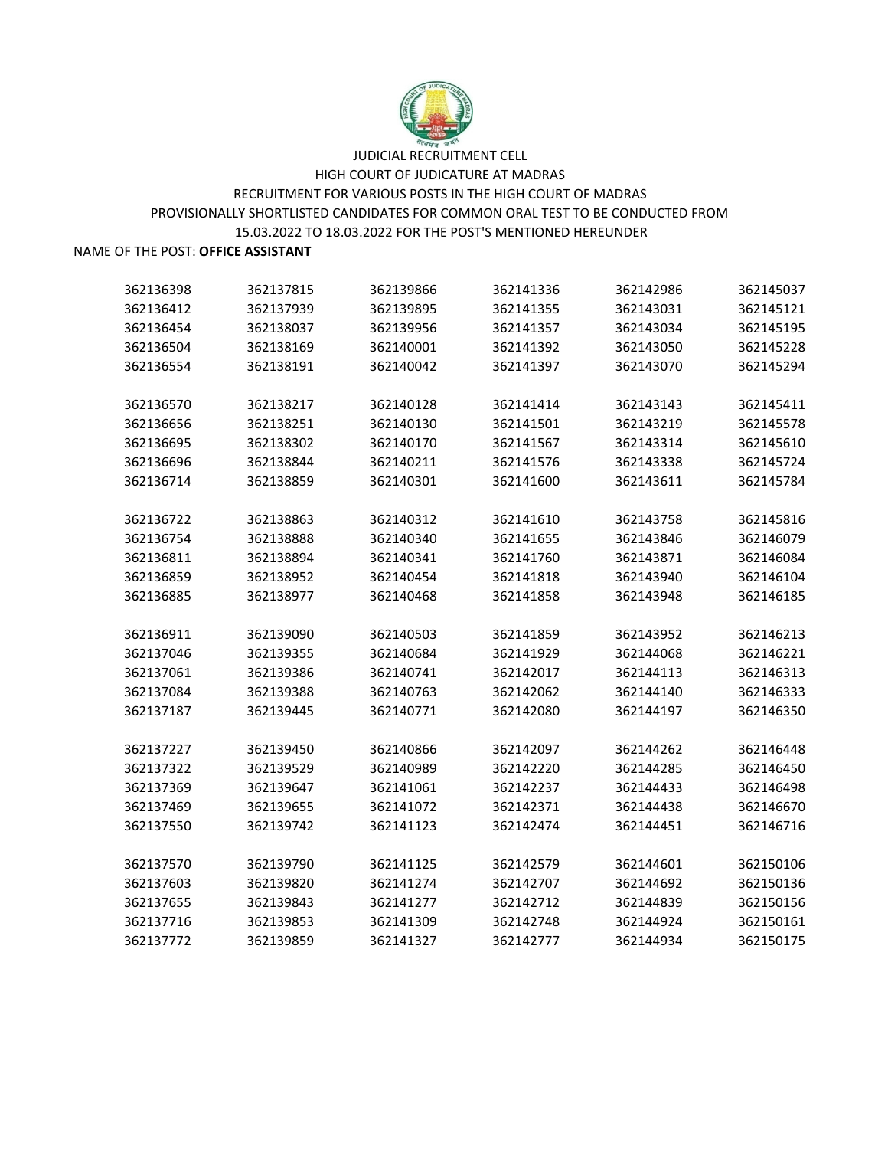

# JUDICIAL RECRUITMENT CELL HIGH COURT OF JUDICATURE AT MADRAS RECRUITMENT FOR VARIOUS POSTS IN THE HIGH COURT OF MADRAS 15.03.2022 TO 18.03.2022 FOR THE POST'S MENTIONED HEREUNDER

#### NAME OF THE POST: **OFFICE ASSISTANT**

PROVISIONALLY SHORTLISTED CANDIDATES FOR COMMON ORAL TEST TO BE CONDUCTED FROM

 362137815 362139866 362141336 362142986 362145037 362137939 362139895 362141355 362143031 362145121 362138037 362139956 362141357 362143034 362145195 362138169 362140001 362141392 362143050 362145228 362138191 362140042 362141397 362143070 362145294 362138217 362140128 362141414 362143143 362145411 362138251 362140130 362141501 362143219 362145578 362138302 362140170 362141567 362143314 362145610 362138844 362140211 362141576 362143338 362145724 362138859 362140301 362141600 362143611 362145784 362138863 362140312 362141610 362143758 362145816 362138888 362140340 362141655 362143846 362146079 362138894 362140341 362141760 362143871 362146084 362138952 362140454 362141818 362143940 362146104 362138977 362140468 362141858 362143948 362146185 362139090 362140503 362141859 362143952 362146213 362139355 362140684 362141929 362144068 362146221 362139386 362140741 362142017 362144113 362146313 362139388 362140763 362142062 362144140 362146333 362139445 362140771 362142080 362144197 362146350 362139450 362140866 362142097 362144262 362146448 362139529 362140989 362142220 362144285 362146450 362139647 362141061 362142237 362144433 362146498 362139655 362141072 362142371 362144438 362146670 362139742 362141123 362142474 362144451 362146716 362139790 362141125 362142579 362144601 362150106 362139820 362141274 362142707 362144692 362150136 362139843 362141277 362142712 362144839 362150156 362139853 362141309 362142748 362144924 362150161 362139859 362141327 362142777 362144934 362150175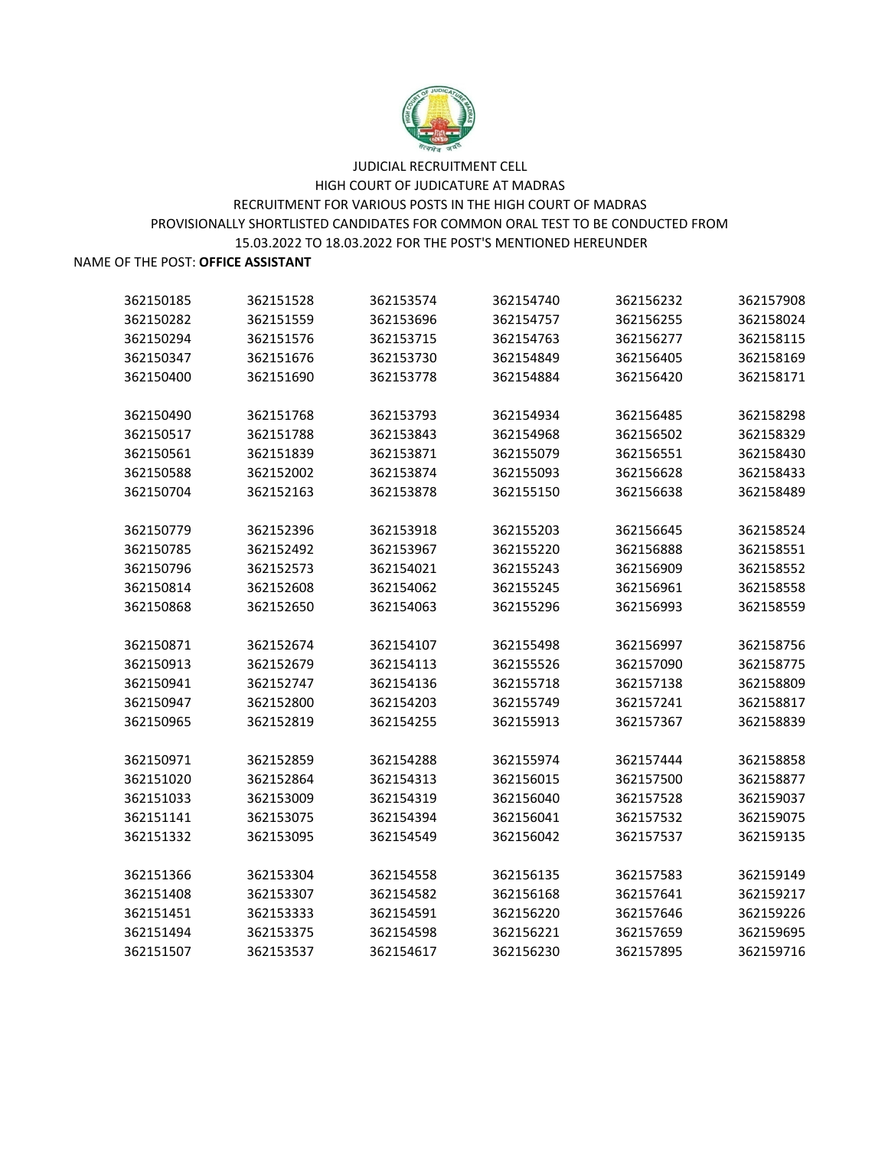

| 362150185 | 362151528              | 362153574 | 362154740 | 362156232 | 362157908 |
|-----------|------------------------|-----------|-----------|-----------|-----------|
| 362150282 | 362151559              | 362153696 | 362154757 | 362156255 | 362158024 |
| 362150294 | 362151576              | 362153715 | 362154763 | 362156277 | 362158115 |
| 362150347 | 362151676              | 362153730 | 362154849 | 362156405 | 362158169 |
| 362150400 | 362151690              | 362153778 | 362154884 | 362156420 | 362158171 |
|           |                        |           |           |           |           |
| 362150490 | 362151768              | 362153793 | 362154934 | 362156485 | 362158298 |
| 362150517 | 362151788              | 362153843 | 362154968 | 362156502 | 362158329 |
| 362150561 | 362151839              | 362153871 | 362155079 | 362156551 | 362158430 |
| 362150588 | 362152002              | 362153874 | 362155093 | 362156628 | 362158433 |
| 362150704 | 362152163              | 362153878 | 362155150 | 362156638 | 362158489 |
| 362150779 | 362152396              | 362153918 | 362155203 | 362156645 | 362158524 |
| 362150785 | 362152492              | 362153967 | 362155220 | 362156888 | 362158551 |
| 362150796 | 362152573              | 362154021 | 362155243 | 362156909 | 362158552 |
|           |                        | 362154062 | 362155245 | 362156961 | 362158558 |
| 362150814 | 362152608<br>362152650 | 362154063 | 362155296 | 362156993 | 362158559 |
| 362150868 |                        |           |           |           |           |
| 362150871 | 362152674              | 362154107 | 362155498 | 362156997 | 362158756 |
| 362150913 | 362152679              | 362154113 | 362155526 | 362157090 | 362158775 |
| 362150941 | 362152747              | 362154136 | 362155718 | 362157138 | 362158809 |
| 362150947 | 362152800              | 362154203 | 362155749 | 362157241 | 362158817 |
| 362150965 | 362152819              | 362154255 | 362155913 | 362157367 | 362158839 |
|           |                        |           |           |           |           |
| 362150971 | 362152859              | 362154288 | 362155974 | 362157444 | 362158858 |
| 362151020 | 362152864              | 362154313 | 362156015 | 362157500 | 362158877 |
| 362151033 | 362153009              | 362154319 | 362156040 | 362157528 | 362159037 |
| 362151141 | 362153075              | 362154394 | 362156041 | 362157532 | 362159075 |
| 362151332 | 362153095              | 362154549 | 362156042 | 362157537 | 362159135 |
| 362151366 | 362153304              | 362154558 | 362156135 | 362157583 | 362159149 |
| 362151408 | 362153307              | 362154582 | 362156168 | 362157641 | 362159217 |
| 362151451 | 362153333              | 362154591 | 362156220 | 362157646 | 362159226 |
| 362151494 | 362153375              | 362154598 | 362156221 | 362157659 | 362159695 |
| 362151507 | 362153537              | 362154617 | 362156230 | 362157895 | 362159716 |
|           |                        |           |           |           |           |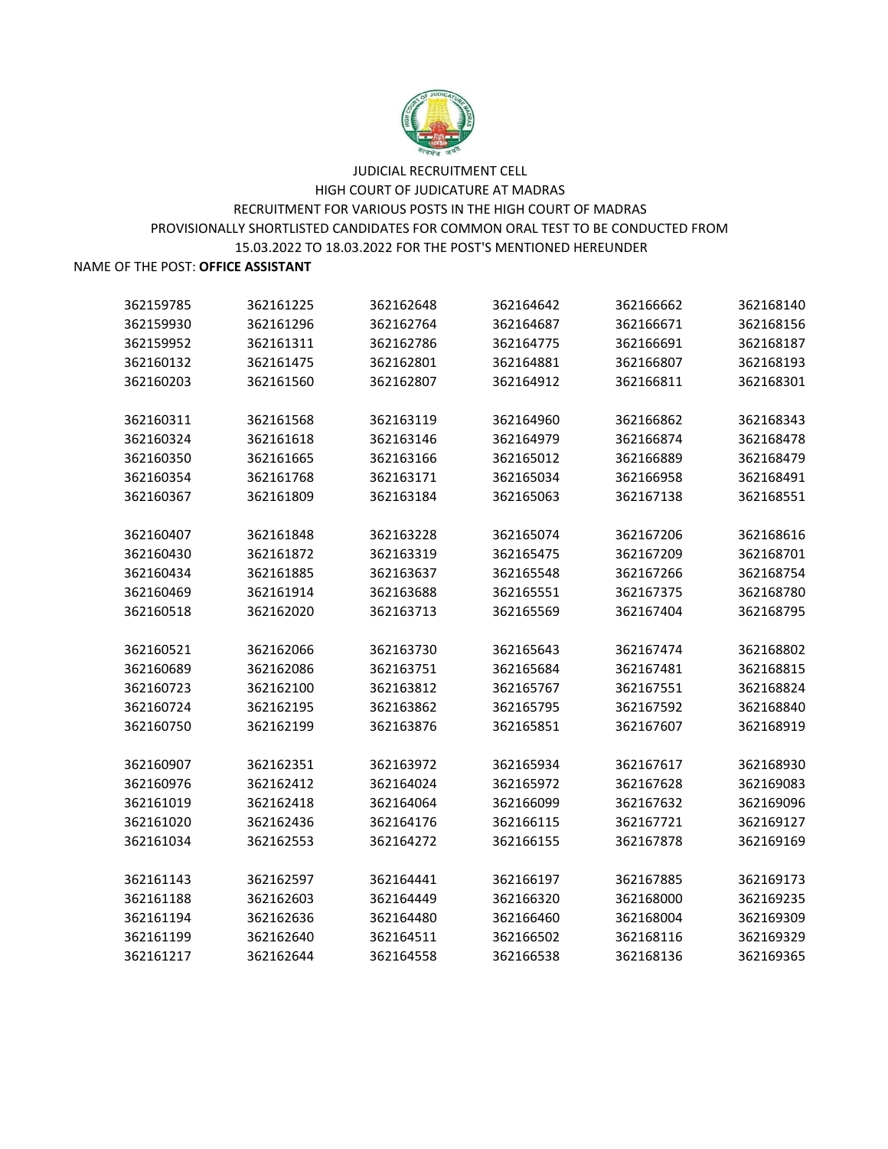

| 362159785 | 362161225 | 362162648 | 362164642 | 362166662 | 362168140 |
|-----------|-----------|-----------|-----------|-----------|-----------|
| 362159930 | 362161296 | 362162764 | 362164687 | 362166671 | 362168156 |
| 362159952 | 362161311 | 362162786 | 362164775 | 362166691 | 362168187 |
| 362160132 | 362161475 | 362162801 | 362164881 | 362166807 | 362168193 |
| 362160203 | 362161560 | 362162807 | 362164912 | 362166811 | 362168301 |
| 362160311 | 362161568 | 362163119 | 362164960 | 362166862 | 362168343 |
| 362160324 | 362161618 | 362163146 | 362164979 | 362166874 | 362168478 |
| 362160350 | 362161665 | 362163166 | 362165012 | 362166889 | 362168479 |
| 362160354 | 362161768 | 362163171 | 362165034 | 362166958 | 362168491 |
| 362160367 | 362161809 | 362163184 | 362165063 | 362167138 | 362168551 |
| 362160407 | 362161848 | 362163228 | 362165074 | 362167206 | 362168616 |
| 362160430 | 362161872 | 362163319 | 362165475 | 362167209 | 362168701 |
| 362160434 | 362161885 | 362163637 | 362165548 | 362167266 | 362168754 |
| 362160469 | 362161914 | 362163688 | 362165551 | 362167375 | 362168780 |
| 362160518 | 362162020 | 362163713 | 362165569 | 362167404 | 362168795 |
| 362160521 | 362162066 | 362163730 | 362165643 | 362167474 | 362168802 |
| 362160689 | 362162086 | 362163751 | 362165684 | 362167481 | 362168815 |
| 362160723 | 362162100 | 362163812 | 362165767 | 362167551 | 362168824 |
| 362160724 | 362162195 | 362163862 | 362165795 | 362167592 | 362168840 |
| 362160750 | 362162199 | 362163876 | 362165851 | 362167607 | 362168919 |
| 362160907 | 362162351 | 362163972 | 362165934 | 362167617 | 362168930 |
| 362160976 | 362162412 | 362164024 | 362165972 | 362167628 | 362169083 |
| 362161019 | 362162418 | 362164064 | 362166099 | 362167632 | 362169096 |
| 362161020 | 362162436 | 362164176 | 362166115 | 362167721 | 362169127 |
| 362161034 | 362162553 | 362164272 | 362166155 | 362167878 | 362169169 |
| 362161143 | 362162597 | 362164441 | 362166197 | 362167885 | 362169173 |
| 362161188 | 362162603 | 362164449 | 362166320 | 362168000 | 362169235 |
| 362161194 | 362162636 | 362164480 | 362166460 | 362168004 | 362169309 |
| 362161199 | 362162640 | 362164511 | 362166502 | 362168116 | 362169329 |
| 362161217 | 362162644 | 362164558 | 362166538 | 362168136 | 362169365 |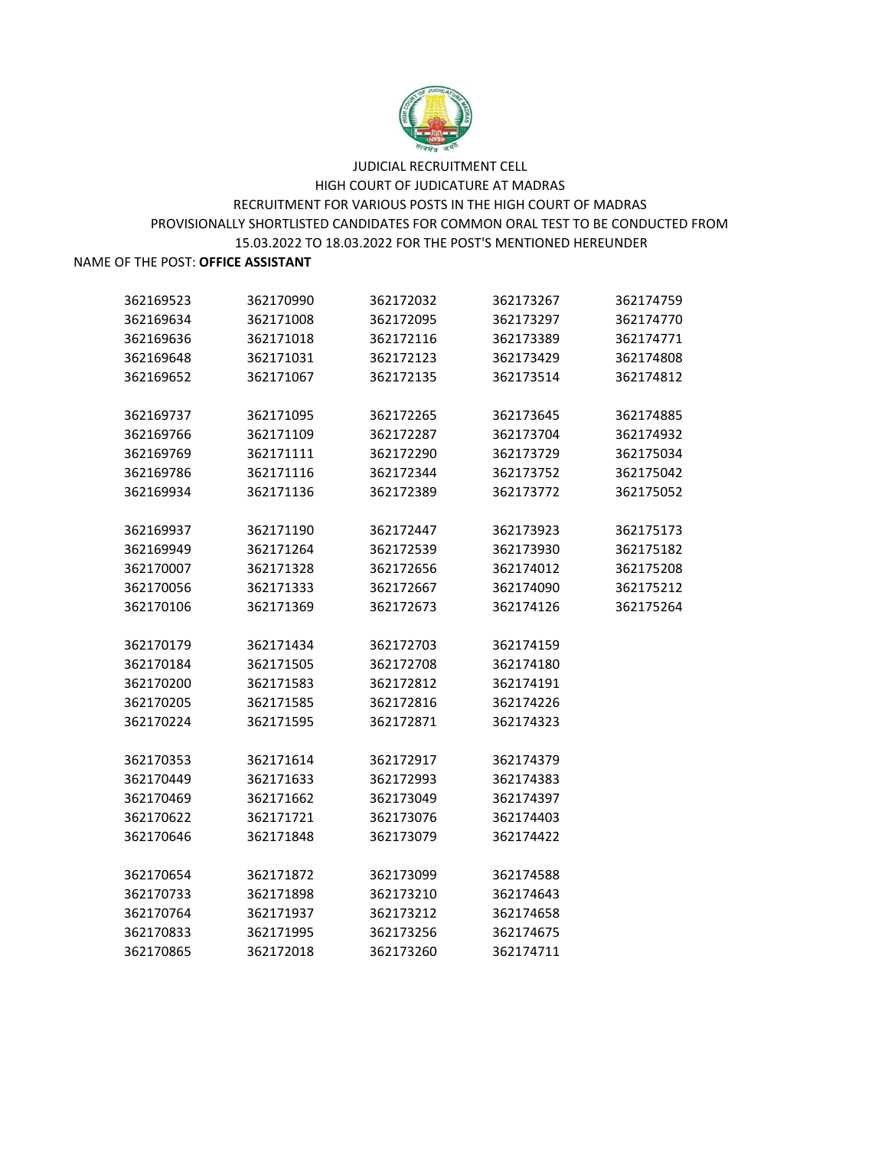

| 362169523 | 362170990 | 362172032 | 362173267 | 362174759 |
|-----------|-----------|-----------|-----------|-----------|
| 362169634 | 362171008 | 362172095 | 362173297 | 362174770 |
| 362169636 | 362171018 | 362172116 | 362173389 | 362174771 |
| 362169648 | 362171031 | 362172123 | 362173429 | 362174808 |
| 362169652 | 362171067 | 362172135 | 362173514 | 362174812 |
| 362169737 | 362171095 | 362172265 | 362173645 | 362174885 |
| 362169766 | 362171109 | 362172287 | 362173704 | 362174932 |
| 362169769 | 362171111 | 362172290 | 362173729 | 362175034 |
| 362169786 | 362171116 | 362172344 | 362173752 | 362175042 |
| 362169934 | 362171136 | 362172389 | 362173772 | 362175052 |
| 362169937 | 362171190 | 362172447 | 362173923 | 362175173 |
| 362169949 | 362171264 | 362172539 | 362173930 | 362175182 |
| 362170007 | 362171328 | 362172656 | 362174012 | 362175208 |
| 362170056 | 362171333 | 362172667 | 362174090 | 362175212 |
| 362170106 | 362171369 | 362172673 | 362174126 | 362175264 |
| 362170179 | 362171434 | 362172703 | 362174159 |           |
| 362170184 | 362171505 | 362172708 | 362174180 |           |
| 362170200 | 362171583 | 362172812 | 362174191 |           |
| 362170205 | 362171585 | 362172816 | 362174226 |           |
| 362170224 | 362171595 | 362172871 | 362174323 |           |
| 362170353 | 362171614 | 362172917 | 362174379 |           |
| 362170449 | 362171633 | 362172993 | 362174383 |           |
| 362170469 | 362171662 | 362173049 | 362174397 |           |
| 362170622 | 362171721 | 362173076 | 362174403 |           |
| 362170646 | 362171848 | 362173079 | 362174422 |           |
| 362170654 | 362171872 | 362173099 | 362174588 |           |
| 362170733 | 362171898 | 362173210 | 362174643 |           |
| 362170764 | 362171937 | 362173212 | 362174658 |           |
| 362170833 | 362171995 | 362173256 | 362174675 |           |
| 362170865 | 362172018 | 362173260 | 362174711 |           |
|           |           |           |           |           |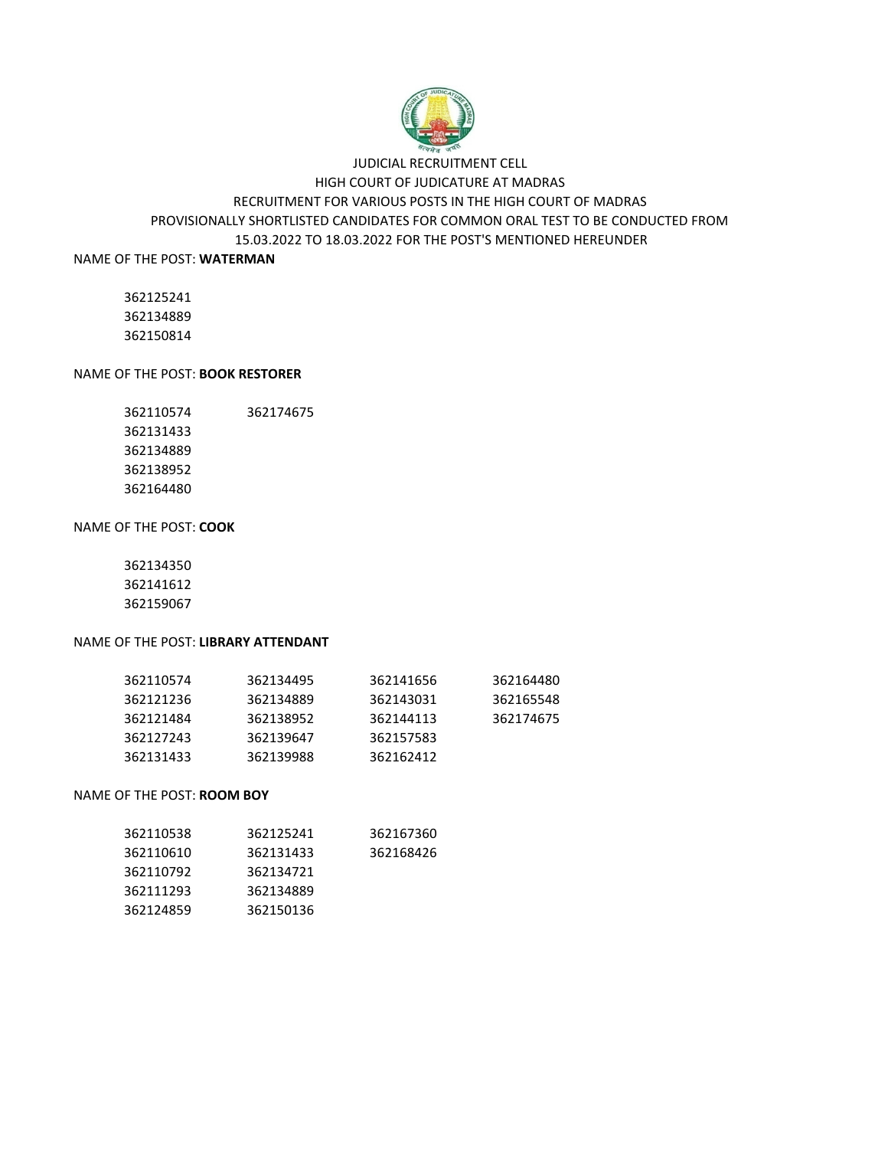

### PROVISIONALLY SHORTLISTED CANDIDATES FOR COMMON ORAL TEST TO BE CONDUCTED FROM 15.03.2022 TO 18.03.2022 FOR THE POST'S MENTIONED HEREUNDER JUDICIAL RECRUITMENT CELL HIGH COURT OF JUDICATURE AT MADRAS RECRUITMENT FOR VARIOUS POSTS IN THE HIGH COURT OF MADRAS

NAME OF THE POST: **WATERMAN**

 

### NAME OF THE POST: **BOOK RESTORER**

 362174675 

### NAME OF THE POST: **COOK**

 

### NAME OF THE POST: **LIBRARY ATTENDANT**

| 362110574 | 362134495 | 362141656 | 362164480 |
|-----------|-----------|-----------|-----------|
| 362121236 | 362134889 | 362143031 | 362165548 |
| 362121484 | 362138952 | 362144113 | 362174675 |
| 362127243 | 362139647 | 362157583 |           |
| 362131433 | 362139988 | 362162412 |           |

#### NAME OF THE POST: **ROOM BOY**

| 362110538 | 362125241 | 362167360 |
|-----------|-----------|-----------|
| 362110610 | 362131433 | 362168426 |
| 362110792 | 362134721 |           |
| 362111293 | 362134889 |           |
| 362124859 | 362150136 |           |